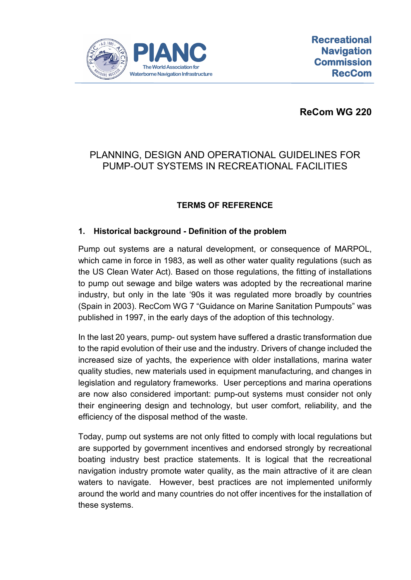

**ReCom WG 220**

# PLANNING, DESIGN AND OPERATIONAL GUIDELINES FOR PUMP-OUT SYSTEMS IN RECREATIONAL FACILITIES

# **TERMS OF REFERENCE**

### **1. Historical background - Definition of the problem**

Pump out systems are a natural development, or consequence of MARPOL, which came in force in 1983, as well as other water quality regulations (such as the US Clean Water Act). Based on those regulations, the fitting of installations to pump out sewage and bilge waters was adopted by the recreational marine industry, but only in the late '90s it was regulated more broadly by countries (Spain in 2003). RecCom WG 7 "Guidance on Marine Sanitation Pumpouts" was published in 1997, in the early days of the adoption of this technology.

In the last 20 years, pump- out system have suffered a drastic transformation due to the rapid evolution of their use and the industry. Drivers of change included the increased size of yachts, the experience with older installations, marina water quality studies, new materials used in equipment manufacturing, and changes in legislation and regulatory frameworks. User perceptions and marina operations are now also considered important: pump-out systems must consider not only their engineering design and technology, but user comfort, reliability, and the efficiency of the disposal method of the waste.

Today, pump out systems are not only fitted to comply with local regulations but are supported by government incentives and endorsed strongly by recreational boating industry best practice statements. It is logical that the recreational navigation industry promote water quality, as the main attractive of it are clean waters to navigate. However, best practices are not implemented uniformly around the world and many countries do not offer incentives for the installation of these systems.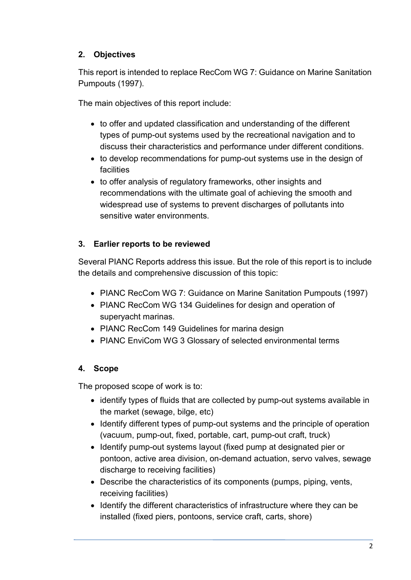## **2. Objectives**

This report is intended to replace RecCom WG 7: Guidance on Marine Sanitation Pumpouts (1997).

The main objectives of this report include:

- to offer and updated classification and understanding of the different types of pump-out systems used by the recreational navigation and to discuss their characteristics and performance under different conditions.
- to develop recommendations for pump-out systems use in the design of facilities
- to offer analysis of regulatory frameworks, other insights and recommendations with the ultimate goal of achieving the smooth and widespread use of systems to prevent discharges of pollutants into sensitive water environments.

## **3. Earlier reports to be reviewed**

Several PIANC Reports address this issue. But the role of this report is to include the details and comprehensive discussion of this topic:

- PIANC RecCom WG 7: Guidance on Marine Sanitation Pumpouts (1997)
- PIANC RecCom WG 134 Guidelines for design and operation of superyacht marinas.
- PIANC RecCom 149 Guidelines for marina design
- PIANC EnviCom WG 3 Glossary of selected environmental terms

# **4. Scope**

The proposed scope of work is to:

- identify types of fluids that are collected by pump-out systems available in the market (sewage, bilge, etc)
- Identify different types of pump-out systems and the principle of operation (vacuum, pump-out, fixed, portable, cart, pump-out craft, truck)
- Identify pump-out systems layout (fixed pump at designated pier or pontoon, active area division, on-demand actuation, servo valves, sewage discharge to receiving facilities)
- Describe the characteristics of its components (pumps, piping, vents, receiving facilities)
- Identify the different characteristics of infrastructure where they can be installed (fixed piers, pontoons, service craft, carts, shore)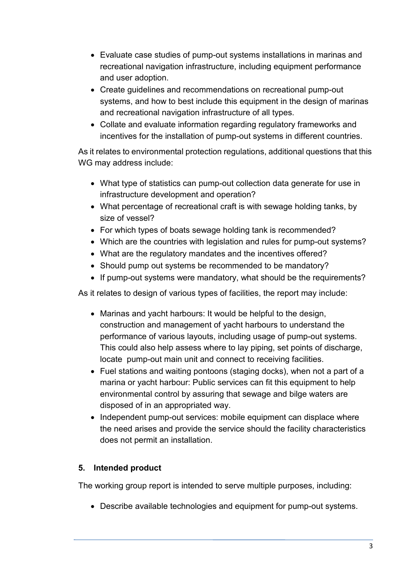- Evaluate case studies of pump-out systems installations in marinas and recreational navigation infrastructure, including equipment performance and user adoption.
- Create guidelines and recommendations on recreational pump-out systems, and how to best include this equipment in the design of marinas and recreational navigation infrastructure of all types.
- Collate and evaluate information regarding regulatory frameworks and incentives for the installation of pump-out systems in different countries.

As it relates to environmental protection regulations, additional questions that this WG may address include:

- What type of statistics can pump-out collection data generate for use in infrastructure development and operation?
- What percentage of recreational craft is with sewage holding tanks, by size of vessel?
- For which types of boats sewage holding tank is recommended?
- Which are the countries with legislation and rules for pump-out systems?
- What are the regulatory mandates and the incentives offered?
- Should pump out systems be recommended to be mandatory?
- If pump-out systems were mandatory, what should be the requirements?

As it relates to design of various types of facilities, the report may include:

- Marinas and yacht harbours: It would be helpful to the design, construction and management of yacht harbours to understand the performance of various layouts, including usage of pump-out systems. This could also help assess where to lay piping, set points of discharge, locate pump-out main unit and connect to receiving facilities.
- Fuel stations and waiting pontoons (staging docks), when not a part of a marina or yacht harbour: Public services can fit this equipment to help environmental control by assuring that sewage and bilge waters are disposed of in an appropriated way.
- Independent pump-out services: mobile equipment can displace where the need arises and provide the service should the facility characteristics does not permit an installation.

# **5. Intended product**

The working group report is intended to serve multiple purposes, including:

• Describe available technologies and equipment for pump-out systems.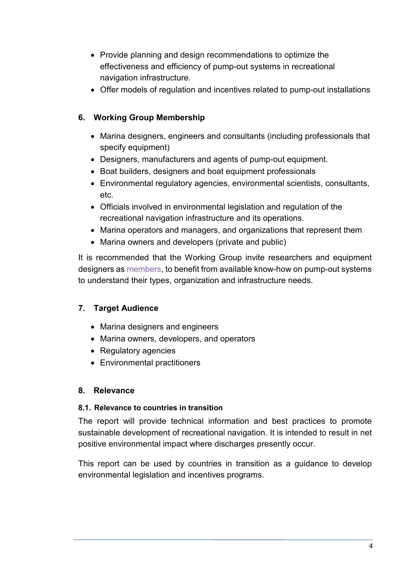- Provide planning and design recommendations to optimize the effectiveness and efficiency of pump-out systems in recreational navigation infrastructure.
- Offer models of regulation and incentives related to pump-out installations

## **6. Working Group Membership**

- Marina designers, engineers and consultants (including professionals that specify equipment)
- Designers, manufacturers and agents of pump-out equipment.
- Boat builders, designers and boat equipment professionals
- Environmental regulatory agencies, environmental scientists, consultants, etc.
- Officials involved in environmental legislation and regulation of the recreational navigation infrastructure and its operations.
- Marina operators and managers, and organizations that represent them
- Marina owners and developers (private and public)

It is recommended that the Working Group invite researchers and equipment designers as members, to benefit from available know-how on pump-out systems to understand their types, organization and infrastructure needs.

## **7. Target Audience**

- Marina designers and engineers
- Marina owners, developers, and operators
- Regulatory agencies
- Environmental practitioners

#### **8. Relevance**

#### **8.1. Relevance to countries in transition**

The report will provide technical information and best practices to promote sustainable development of recreational navigation. It is intended to result in net positive environmental impact where discharges presently occur.

This report can be used by countries in transition as a guidance to develop environmental legislation and incentives programs.